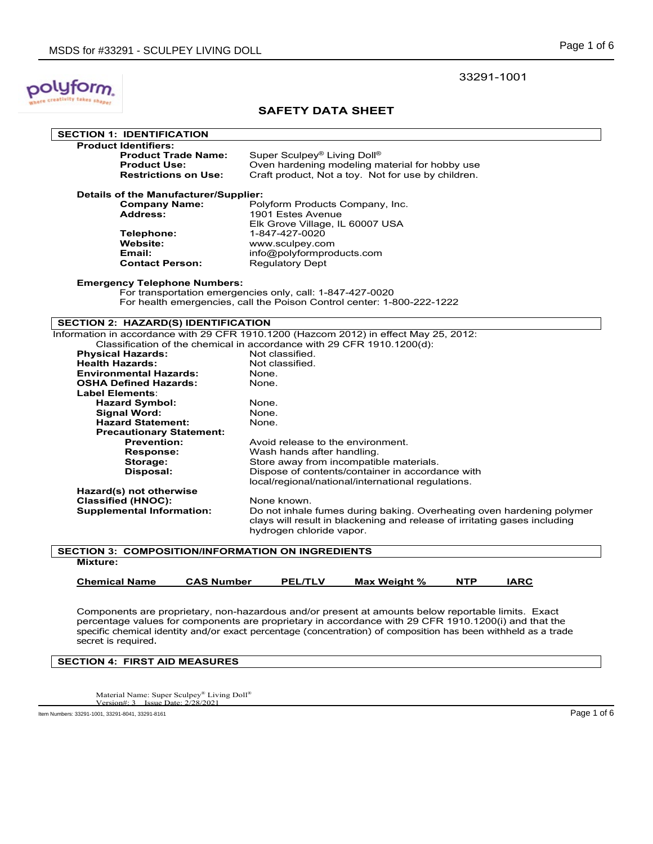

### **SAFETY DATA SHEET**

| <b>SECTION 1: IDENTIFICATION</b>                         |                                                                                       |  |  |
|----------------------------------------------------------|---------------------------------------------------------------------------------------|--|--|
| <b>Product Identifiers:</b>                              |                                                                                       |  |  |
| <b>Product Trade Name:</b>                               | Super Sculpey <sup>®</sup> Living Doll <sup>®</sup>                                   |  |  |
| <b>Product Use:</b>                                      | Oven hardening modeling material for hobby use                                        |  |  |
| <b>Restrictions on Use:</b>                              | Craft product, Not a toy. Not for use by children.                                    |  |  |
| Details of the Manufacturer/Supplier:                    |                                                                                       |  |  |
| <b>Company Name:</b>                                     | Polyform Products Company, Inc.                                                       |  |  |
| <b>Address:</b>                                          | 1901 Estes Avenue                                                                     |  |  |
|                                                          | Elk Grove Village, IL 60007 USA                                                       |  |  |
| Telephone:                                               | 1-847-427-0020                                                                        |  |  |
| Website:                                                 | www.sculpey.com                                                                       |  |  |
| Email:                                                   | info@polyformproducts.com                                                             |  |  |
| <b>Contact Person:</b>                                   | <b>Regulatory Dept</b>                                                                |  |  |
|                                                          |                                                                                       |  |  |
| <b>Emergency Telephone Numbers:</b>                      |                                                                                       |  |  |
|                                                          | For transportation emergencies only, call: 1-847-427-0020                             |  |  |
|                                                          | For health emergencies, call the Poison Control center: 1-800-222-1222                |  |  |
|                                                          |                                                                                       |  |  |
| SECTION 2: HAZARD(S) IDENTIFICATION                      |                                                                                       |  |  |
|                                                          | Information in accordance with 29 CFR 1910.1200 (Hazcom 2012) in effect May 25, 2012: |  |  |
|                                                          | Classification of the chemical in accordance with 29 CFR 1910.1200(d):                |  |  |
| <b>Physical Hazards:</b>                                 | Not classified.                                                                       |  |  |
| <b>Health Hazards:</b>                                   | Not classified.                                                                       |  |  |
| <b>Environmental Hazards:</b>                            | None.                                                                                 |  |  |
| <b>OSHA Defined Hazards:</b>                             | None.                                                                                 |  |  |
| Label Elements:                                          |                                                                                       |  |  |
| <b>Hazard Symbol:</b>                                    | None.                                                                                 |  |  |
| <b>Signal Word:</b>                                      | None.                                                                                 |  |  |
| <b>Hazard Statement:</b>                                 | None.                                                                                 |  |  |
| <b>Precautionary Statement:</b>                          |                                                                                       |  |  |
| <b>Prevention:</b>                                       | Avoid release to the environment.                                                     |  |  |
| <b>Response:</b>                                         | Wash hands after handling.                                                            |  |  |
| Storage:                                                 | Store away from incompatible materials.                                               |  |  |
| Disposal:                                                | Dispose of contents/container in accordance with                                      |  |  |
|                                                          | local/regional/national/international regulations.                                    |  |  |
| Hazard(s) not otherwise                                  |                                                                                       |  |  |
| <b>Classified (HNOC):</b>                                | None known.                                                                           |  |  |
| <b>Supplemental Information:</b>                         | Do not inhale fumes during baking. Overheating oven hardening polymer                 |  |  |
|                                                          | clays will result in blackening and release of irritating gases including             |  |  |
|                                                          | hydrogen chloride vapor.                                                              |  |  |
| <b>SECTION 3: COMPOSITION/INFORMATION ON INGREDIENTS</b> |                                                                                       |  |  |
| <b>Mixture:</b>                                          |                                                                                       |  |  |
|                                                          |                                                                                       |  |  |

| <b>Chemical Name</b> | <b>CAS Number</b> | <b>PEL/TLV</b> | Max Weight % | <b>NTP</b> | IARC |
|----------------------|-------------------|----------------|--------------|------------|------|
|                      |                   |                |              |            |      |

Components are proprietary, non-hazardous and/or present at amounts below reportable limits. Exact percentage values for components are proprietary in accordance with 29 CFR 1910.1200(i) and that the specific chemical identity and/or exact percentage (concentration) of composition has been withheld as a trade secret is required.

**SECTION 4: FIRST AID MEASURES**

Material Name: Super Sculpey® Living Doll® Version#: 3 Issue Date: 2/28/2021

Item Numbers: 33291-1001, 33291-8041, 33291-8161 Page 1 of 6

33291-1001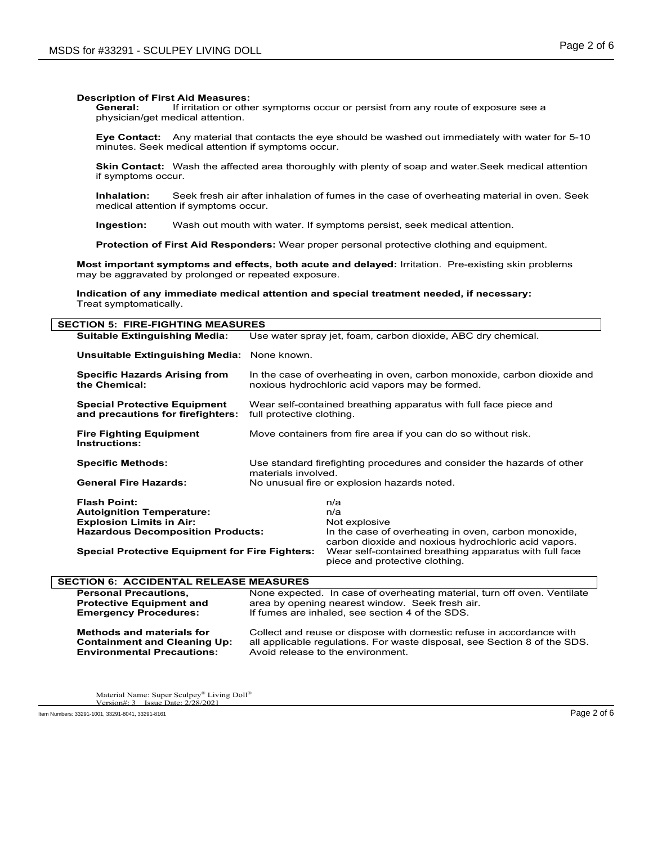If irritation or other symptoms occur or persist from any route of exposure see a physician/get medical attention.

**Eye Contact:** Any material that contacts the eye should be washed out immediately with water for 5-10 minutes. Seek medical attention if symptoms occur.

**Skin Contact:** Wash the affected area thoroughly with plenty of soap and water.Seek medical attention if symptoms occur.

**Inhalation:** Seek fresh air after inhalation of fumes in the case of overheating material in oven. Seek medical attention if symptoms occur.

**Ingestion:** Wash out mouth with water. If symptoms persist, seek medical attention.

**Protection of First Aid Responders:** Wear proper personal protective clothing and equipment.

**Most important symptoms and effects, both acute and delayed:** Irritation. Pre-existing skin problems may be aggravated by prolonged or repeated exposure.

**Indication of any immediate medical attention and special treatment needed, if necessary:** Treat symptomatically.

| <b>SECTION 5: FIRE-FIGHTING MEASURES</b>                                 |                                                                                                                            |                                                                                          |  |  |
|--------------------------------------------------------------------------|----------------------------------------------------------------------------------------------------------------------------|------------------------------------------------------------------------------------------|--|--|
| <b>Suitable Extinguishing Media:</b>                                     | Use water spray jet, foam, carbon dioxide, ABC dry chemical.                                                               |                                                                                          |  |  |
| Unsuitable Extinguishing Media: None known.                              |                                                                                                                            |                                                                                          |  |  |
| <b>Specific Hazards Arising from</b><br>the Chemical:                    | In the case of overheating in oven, carbon monoxide, carbon dioxide and<br>noxious hydrochloric acid vapors may be formed. |                                                                                          |  |  |
| <b>Special Protective Equipment</b><br>and precautions for firefighters: | Wear self-contained breathing apparatus with full face piece and<br>full protective clothing.                              |                                                                                          |  |  |
| <b>Fire Fighting Equipment</b><br><b>Instructions:</b>                   | Move containers from fire area if you can do so without risk.                                                              |                                                                                          |  |  |
| <b>Specific Methods:</b>                                                 | Use standard firefighting procedures and consider the hazards of other<br>materials involved.                              |                                                                                          |  |  |
| <b>General Fire Hazards:</b>                                             | No unusual fire or explosion hazards noted.                                                                                |                                                                                          |  |  |
| <b>Flash Point:</b>                                                      |                                                                                                                            | n/a                                                                                      |  |  |
| <b>Autoignition Temperature:</b>                                         |                                                                                                                            | n/a                                                                                      |  |  |
| <b>Explosion Limits in Air:</b>                                          |                                                                                                                            | Not explosive                                                                            |  |  |
| <b>Hazardous Decomposition Products:</b>                                 |                                                                                                                            | In the case of overheating in oven, carbon monoxide,                                     |  |  |
|                                                                          |                                                                                                                            | carbon dioxide and noxious hydrochloric acid vapors.                                     |  |  |
| <b>Special Protective Equipment for Fire Fighters:</b>                   |                                                                                                                            | Wear self-contained breathing apparatus with full face<br>piece and protective clothing. |  |  |
| <b>SECTION 6: ACCIDENTAL RELEASE MEASURES</b>                            |                                                                                                                            |                                                                                          |  |  |
| <b>Personal Precautions,</b>                                             | None expected. In case of overheating material, turn off oven. Ventilate                                                   |                                                                                          |  |  |
| <b>Protective Equipment and</b>                                          | area by opening nearest window. Seek fresh air.                                                                            |                                                                                          |  |  |
| <b>Emergency Procedures:</b>                                             | If fumes are inhaled, see section 4 of the SDS.                                                                            |                                                                                          |  |  |
| <b>Methods and materials for</b>                                         |                                                                                                                            | Collect and reuse or dispose with domestic refuse in accordance with                     |  |  |
| <b>Containment and Cleaning Up:</b>                                      | all applicable requiations. For waste disposal, see Section 8 of the SDS.                                                  |                                                                                          |  |  |
| <b>Environmental Precautions:</b>                                        | Avoid release to the environment.                                                                                          |                                                                                          |  |  |

Material Name: Super Sculpey® Living Doll®<br>Version#: 3 Issue Date: 2/28/2021  $Version#: 3$  Issue Date: 2.

Item Numbers: 33291-1001, 33291-8041, 33291-8161 Page 2 of 6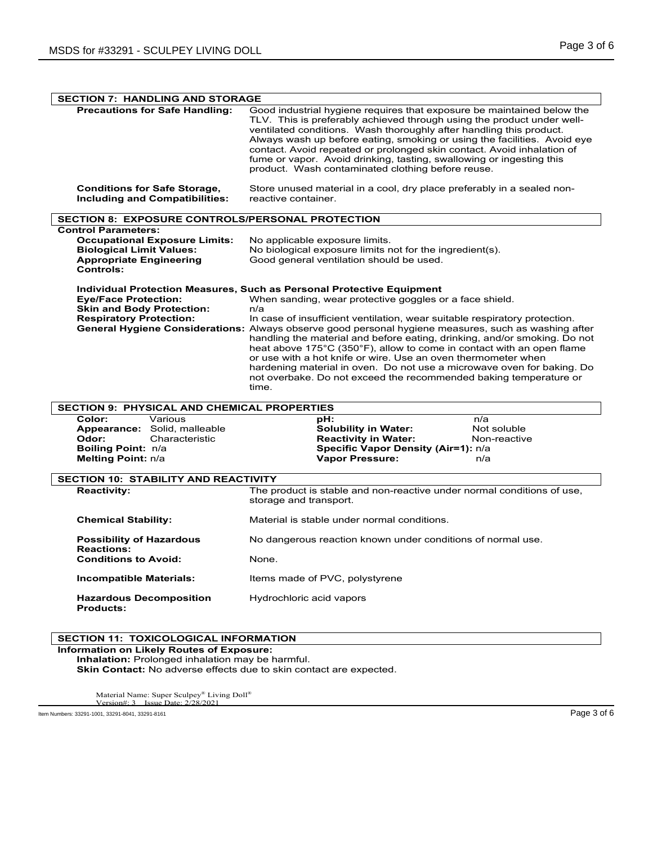| <b>SECTION 7: HANDLING AND STORAGE</b>                                                                                                               |                                                                                                                                                                                                                                                                                                                                                                                                                                                                                                                                                                                                                                                                                                                     |  |  |  |
|------------------------------------------------------------------------------------------------------------------------------------------------------|---------------------------------------------------------------------------------------------------------------------------------------------------------------------------------------------------------------------------------------------------------------------------------------------------------------------------------------------------------------------------------------------------------------------------------------------------------------------------------------------------------------------------------------------------------------------------------------------------------------------------------------------------------------------------------------------------------------------|--|--|--|
| <b>Precautions for Safe Handling:</b>                                                                                                                | Good industrial hygiene requires that exposure be maintained below the<br>TLV. This is preferably achieved through using the product under well-<br>ventilated conditions. Wash thoroughly after handling this product.<br>Always wash up before eating, smoking or using the facilities. Avoid eye<br>contact. Avoid repeated or prolonged skin contact. Avoid inhalation of<br>fume or vapor. Avoid drinking, tasting, swallowing or ingesting this<br>product. Wash contaminated clothing before reuse.                                                                                                                                                                                                          |  |  |  |
| <b>Conditions for Safe Storage,</b><br><b>Including and Compatibilities:</b>                                                                         | Store unused material in a cool, dry place preferably in a sealed non-<br>reactive container.                                                                                                                                                                                                                                                                                                                                                                                                                                                                                                                                                                                                                       |  |  |  |
| <b>SECTION 8: EXPOSURE CONTROLS/PERSONAL PROTECTION</b>                                                                                              |                                                                                                                                                                                                                                                                                                                                                                                                                                                                                                                                                                                                                                                                                                                     |  |  |  |
| <b>Control Parameters:</b><br><b>Occupational Exposure Limits:</b><br><b>Biological Limit Values:</b><br><b>Appropriate Engineering</b><br>Controls: | No applicable exposure limits.<br>No biological exposure limits not for the ingredient(s).<br>Good general ventilation should be used.                                                                                                                                                                                                                                                                                                                                                                                                                                                                                                                                                                              |  |  |  |
| <b>Eye/Face Protection:</b><br><b>Skin and Body Protection:</b><br><b>Respiratory Protection:</b>                                                    | <b>Individual Protection Measures, Such as Personal Protective Equipment</b><br>When sanding, wear protective goggles or a face shield.<br>n/a<br>In case of insufficient ventilation, wear suitable respiratory protection.<br>General Hygiene Considerations: Always observe good personal hygiene measures, such as washing after<br>handling the material and before eating, drinking, and/or smoking. Do not<br>heat above 175°C (350°F), allow to come in contact with an open flame<br>or use with a hot knife or wire. Use an oven thermometer when<br>hardening material in oven. Do not use a microwave oven for baking. Do<br>not overbake. Do not exceed the recommended baking temperature or<br>time. |  |  |  |
| <b>SECTION 9: PHYSICAL AND CHEMICAL PROPERTIES</b>                                                                                                   |                                                                                                                                                                                                                                                                                                                                                                                                                                                                                                                                                                                                                                                                                                                     |  |  |  |
| Color:<br>Various<br>Appearance: Solid, malleable<br>Odor:<br>Characteristic<br>Boiling Point: n/a<br>Melting Point: n/a                             | :Ha<br>n/a<br><b>Solubility in Water:</b><br>Not soluble<br><b>Reactivity in Water:</b><br>Non-reactive<br>Specific Vapor Density (Air=1): n/a<br><b>Vapor Pressure:</b><br>n/a                                                                                                                                                                                                                                                                                                                                                                                                                                                                                                                                     |  |  |  |
| <b>SECTION 10: STABILITY AND REACTIVITY</b>                                                                                                          |                                                                                                                                                                                                                                                                                                                                                                                                                                                                                                                                                                                                                                                                                                                     |  |  |  |
| <b>Reactivity:</b>                                                                                                                                   | The product is stable and non-reactive under normal conditions of use,<br>storage and transport.                                                                                                                                                                                                                                                                                                                                                                                                                                                                                                                                                                                                                    |  |  |  |
| <b>Chemical Stability:</b>                                                                                                                           | Material is stable under normal conditions.                                                                                                                                                                                                                                                                                                                                                                                                                                                                                                                                                                                                                                                                         |  |  |  |
| <b>Possibility of Hazardous</b><br><b>Reactions:</b>                                                                                                 | No dangerous reaction known under conditions of normal use.                                                                                                                                                                                                                                                                                                                                                                                                                                                                                                                                                                                                                                                         |  |  |  |
| <b>Conditions to Avoid:</b>                                                                                                                          | None.                                                                                                                                                                                                                                                                                                                                                                                                                                                                                                                                                                                                                                                                                                               |  |  |  |
| <b>Incompatible Materials:</b>                                                                                                                       | Items made of PVC, polystyrene                                                                                                                                                                                                                                                                                                                                                                                                                                                                                                                                                                                                                                                                                      |  |  |  |
| <b>Hazardous Decomposition</b><br><b>Products:</b>                                                                                                   | Hydrochloric acid vapors                                                                                                                                                                                                                                                                                                                                                                                                                                                                                                                                                                                                                                                                                            |  |  |  |

### **SECTION 11: TOXICOLOGICAL INFORMATION**

**Information on Likely Routes of Exposure: Inhalation:** Prolonged inhalation may be harmful.

**Skin Contact:** No adverse effects due to skin contact are expected.

Material Name: Super Sculpey® Living Doll® Version#: 3 Issue Date: 2/28/2021

Item Numbers: 33291-1001, 33291-8041, 33291-8161 Page 3 of 6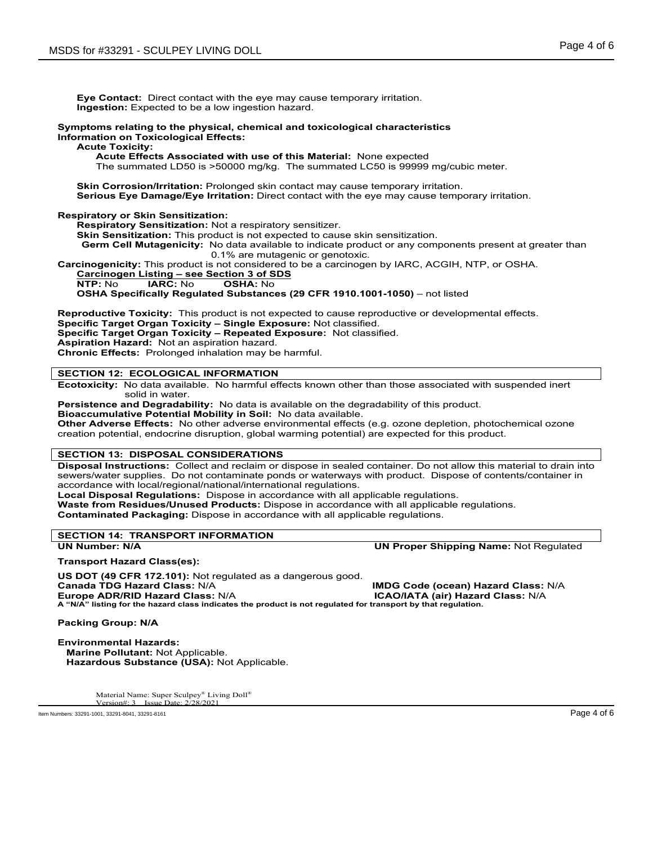**Eye Contact:** Direct contact with the eye may cause temporary irritation. **Ingestion:** Expected to be a low ingestion hazard.

### **Symptoms relating to the physical, chemical and toxicological characteristics Information on Toxicological Effects:**

### **Acute Toxicity:**

**Acute Effects Associated with use of this Material:** None expected

The summated LD50 is >50000 mg/kg. The summated LC50 is 99999 mg/cubic meter.

**Skin Corrosion/Irritation:** Prolonged skin contact may cause temporary irritation. **Serious Eye Damage/Eye Irritation:** Direct contact with the eye may cause temporary irritation.

**Respiratory or Skin Sensitization:**

**Respiratory Sensitization:** Not a respiratory sensitizer.

**Skin Sensitization:** This product is not expected to cause skin sensitization.

**Germ Cell Mutagenicity:** No data available to indicate product or any components present at greater than

0.1% are mutagenic or genotoxic.

**Carcinogenicity:** This product is not considered to be a carcinogen by IARC, ACGIH, NTP, or OSHA.

## **Carcinogen Listing – see Section 3 of SDS**

**NTP:** No **IARC:** No **OSHA:** No

**OSHA Specifically Regulated Substances (29 CFR 1910.1001-1050)** – not listed

**Reproductive Toxicity:** This product is not expected to cause reproductive or developmental effects.

**Specific Target Organ Toxicity – Single Exposure:** Not classified.

**Specific Target Organ Toxicity – Repeated Exposure:** Not classified.

**Aspiration Hazard:** Not an aspiration hazard.

**Chronic Effects:** Prolonged inhalation may be harmful.

### **SECTION 12: ECOLOGICAL INFORMATION**

**Ecotoxicity:** No data available. No harmful effects known other than those associated with suspended inert solid in water.

**Persistence and Degradability:** No data is available on the degradability of this product.

**Bioaccumulative Potential Mobility in Soil:** No data available.

**Other Adverse Effects:** No other adverse environmental effects (e.g. ozone depletion, photochemical ozone creation potential, endocrine disruption, global warming potential) are expected for this product.

### **SECTION 13: DISPOSAL CONSIDERATIONS**

**Disposal Instructions:** Collect and reclaim or dispose in sealed container. Do not allow this material to drain into sewers/water supplies. Do not contaminate ponds or waterways with product. Dispose of contents/container in accordance with local/regional/national/international regulations.

**Local Disposal Regulations:** Dispose in accordance with all applicable regulations. **Waste from Residues/Unused Products:** Dispose in accordance with all applicable regulations.

**Contaminated Packaging:** Dispose in accordance with all applicable regulations.

# **SECTION 14: TRANSPORT INFORMATION**

**UN Proper Shipping Name: Not Regulated** 

**Transport Hazard Class(es):**

**US DOT (49 CFR 172.101):** Not regulated as a dangerous good. **Canada TDG Hazard Class:** N/A **IMDG Code (ocean) Hazard Class:** N/A **A "N/A" listing for the hazard class indicates the product is not regulated for transport by that regulation.**

**Europe ADR/RID Hazard Class:** N/A **ICAO/IATA (air) Hazard Class:** N/A

**Packing Group: N/A**

**Environmental Hazards: Marine Pollutant:** Not Applicable.  **Hazardous Substance (USA):** Not Applicable.

> Material Name: Super Sculpey® Living Doll®<br>Version#: 3 Josue Dote: 2/28/2021 Version#: 3 Issue Date: 2

Item Numbers: 33291-1001, 33291-8041, 33291-8161 Page 4 of 6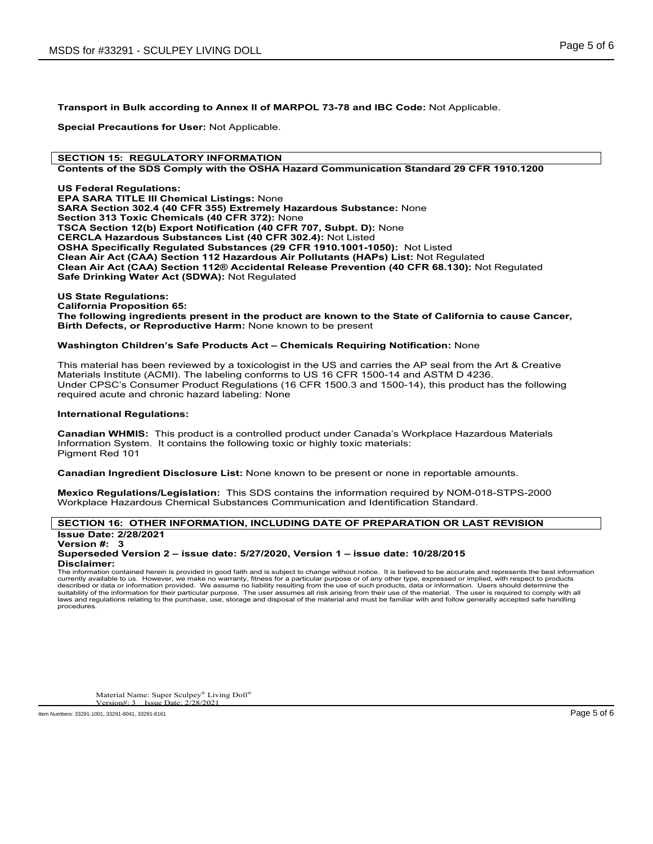**Transport in Bulk according to Annex II of MARPOL 73-78 and IBC Code:** Not Applicable.

**Special Precautions for User:** Not Applicable.

### **SECTION 15: REGULATORY INFORMATION**

### **Contents of the SDS Comply with the OSHA Hazard Communication Standard 29 CFR 1910.1200**

**US Federal Regulations: EPA SARA TITLE III Chemical Listings:** None **SARA Section 302.4 (40 CFR 355) Extremely Hazardous Substance:** None **Section 313 Toxic Chemicals (40 CFR 372):** None **TSCA Section 12(b) Export Notification (40 CFR 707, Subpt. D):** None **CERCLA Hazardous Substances List (40 CFR 302.4):** Not Listed **OSHA Specifically Regulated Substances (29 CFR 1910.1001-1050):** Not Listed **Clean Air Act (CAA) Section 112 Hazardous Air Pollutants (HAPs) List:** Not Regulated **Clean Air Act (CAA) Section 112® Accidental Release Prevention (40 CFR 68.130):** Not Regulated **Safe Drinking Water Act (SDWA):** Not Regulated

**US State Regulations: California Proposition 65:**

**The following ingredients present in the product are known to the State of California to cause Cancer, Birth Defects, or Reproductive Harm:** None known to be present

### **Washington Children's Safe Products Act – Chemicals Requiring Notification:** None

This material has been reviewed by a toxicologist in the US and carries the AP seal from the Art & Creative Materials Institute (ACMI). The labeling conforms to US 16 CFR 1500-14 and ASTM D 4236. Under CPSC's Consumer Product Regulations (16 CFR 1500.3 and 1500-14), this product has the following required acute and chronic hazard labeling: None

### **International Regulations:**

**Canadian WHMIS:** This product is a controlled product under Canada's Workplace Hazardous Materials Information System. It contains the following toxic or highly toxic materials: Pigment Red 101

**Canadian Ingredient Disclosure List:** None known to be present or none in reportable amounts.

**Mexico Regulations/Legislation:** This SDS contains the information required by NOM-018-STPS-2000 Workplace Hazardous Chemical Substances Communication and Identification Standard.

### **SECTION 16: OTHER INFORMATION, INCLUDING DATE OF PREPARATION OR LAST REVISION Issue Date: 2/28/2021**

**Version #: 3**

### **Superseded Version 2 – issue date: 5/27/2020, Version 1 – issue date: 10/28/2015 Disclaimer:**

The information contained herein is provided in good faith and is subject to change without notice. It is believed to be accurate and represents the best information currently available to us. However, we make no warranty, fitness for a particular purpose or of any other type, expressed or implied, with respect to products described or data or information provided. We assume no liability resulting from the use of such products, data or information. Users should determine the<br>suitability of the information for their particular purpose. The laws and regulations relating to the purchase, use, storage and disposal of the material and must be familiar with and follow generally accepted safe handling procedures.

Material Name: Super Sculpey® Living Doll®<br>Version#: 3 Jasua Dota: 2/28/2021 Version#: 3 Issue Date:

Item Numbers: 33291-1001, 33291-8041, 33291-8161 Page 5 of 6